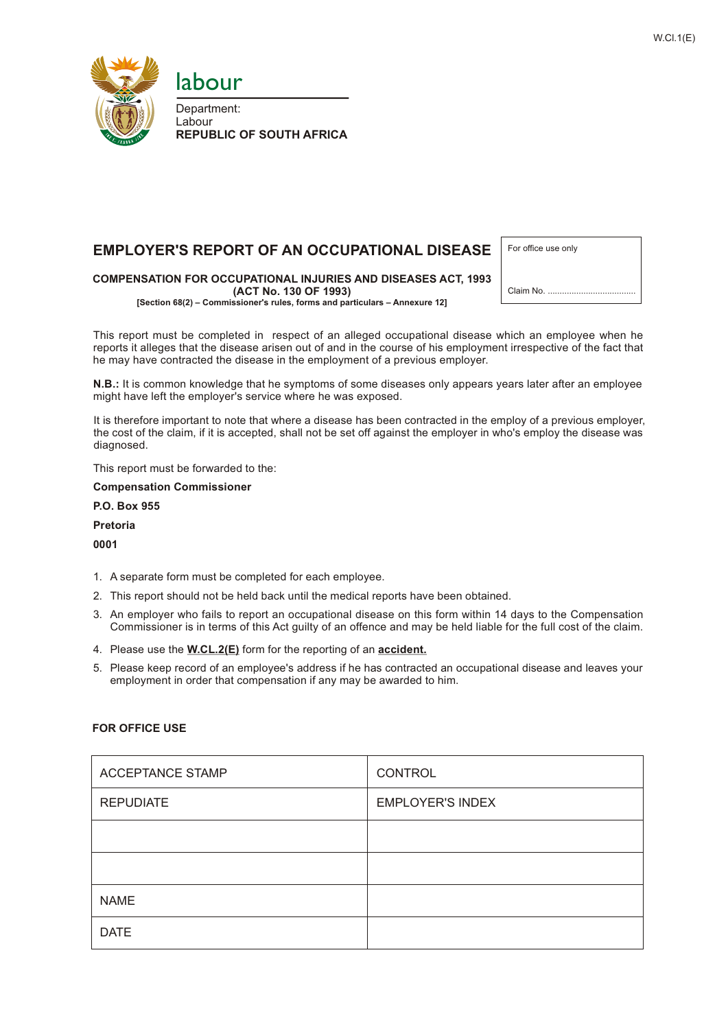



Department: Labour **REPUBLIC OF SOUTH AFRICA**

# **EMPLOYER'S REPORT OF AN OCCUPATIONAL DISEASE**

**COMPENSATION FOR OCCUPATIONAL INJURIES AND DISEASES ACT, 1993 (ACT No. 130 OF 1993) [Section 68(2) – Commissioner's rules, forms and particulars – Annexure 12]**

| For office use only |
|---------------------|
|                     |
| Claim No.           |

This report must be completed in respect of an alleged occupational disease which an employee when he reports it alleges that the disease arisen out of and in the course of his employment irrespective of the fact that he may have contracted the disease in the employment of a previous employer.

**N.B.:** It is common knowledge that he symptoms of some diseases only appears years later after an employee might have left the employer's service where he was exposed.

It is therefore important to note that where a disease has been contracted in the employ of a previous employer, the cost of the claim, if it is accepted, shall not be set off against the employer in who's employ the disease was diagnosed.

This report must be forwarded to the:

**Compensation Commissioner**

**P.O. Box 955**

**Pretoria**

**0001**

- 1. A separate form must be completed for each employee.
- 2. This report should not be held back until the medical reports have been obtained.
- 3. An employer who fails to report an occupational disease on this form within 14 days to the Compensation Commissioner is in terms of this Act guilty of an offence and may be held liable for the full cost of the claim.
- 4. Please use the **W.CL.2(E)** form for the reporting of an **accident.**
- 5. Please keep record of an employee's address if he has contracted an occupational disease and leaves your employment in order that compensation if any may be awarded to him.

| <b>ACCEPTANCE STAMP</b> | CONTROL                 |
|-------------------------|-------------------------|
| <b>REPUDIATE</b>        | <b>EMPLOYER'S INDEX</b> |
|                         |                         |
|                         |                         |
| <b>NAME</b>             |                         |
| <b>DATE</b>             |                         |

## **FOR OFFICE USE**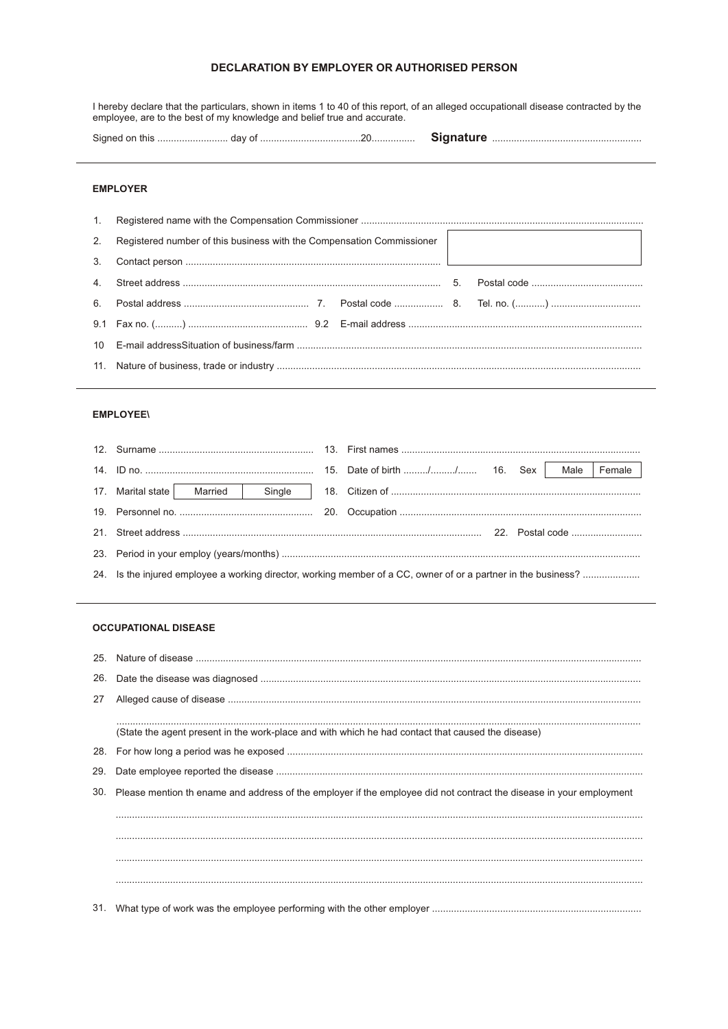# DECLARATION BY EMPLOYER OR AUTHORISED PERSON

I hereby declare that the particulars, shown in items 1 to 40 of this report, of an alleged occupationall disease contracted by the employee, are to the best of my knowledge and belief true and accurate.

## **EMPLOYER**

| 2. | Registered number of this business with the Compensation Commissioner |  |  |
|----|-----------------------------------------------------------------------|--|--|
| 3. |                                                                       |  |  |
|    |                                                                       |  |  |
|    |                                                                       |  |  |
|    |                                                                       |  |  |
|    |                                                                       |  |  |
|    |                                                                       |  |  |

#### **EMPLOYEE\**

| 17. Marital state   Married   Single |  |  |
|--------------------------------------|--|--|
|                                      |  |  |
|                                      |  |  |
|                                      |  |  |
|                                      |  |  |

### **OCCUPATIONAL DISEASE**

| 26. |                                                                                                                         |
|-----|-------------------------------------------------------------------------------------------------------------------------|
| 27  |                                                                                                                         |
|     |                                                                                                                         |
|     | (State the agent present in the work-place and with which he had contact that caused the disease)                       |
|     |                                                                                                                         |
| 29. |                                                                                                                         |
|     | 30. Please mention th ename and address of the employer if the employee did not contract the disease in your employment |
|     |                                                                                                                         |
|     |                                                                                                                         |
|     |                                                                                                                         |
|     |                                                                                                                         |
|     |                                                                                                                         |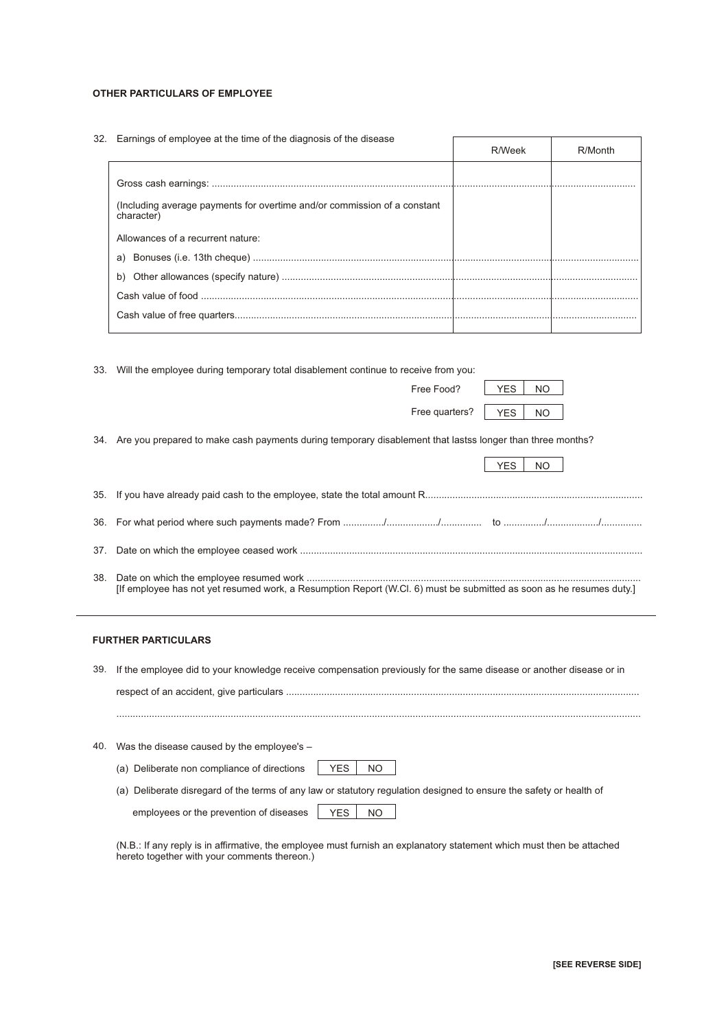#### **OTHER PARTICULARS OF EMPLOYEE**

32. Earnings of employee at the time of the diagnosis of the disease

|                                                                                        | R/Week | R/Month |
|----------------------------------------------------------------------------------------|--------|---------|
|                                                                                        |        |         |
|                                                                                        |        |         |
| (Including average payments for overtime and/or commission of a constant<br>character) |        |         |
| Allowances of a recurrent nature:                                                      |        |         |
|                                                                                        |        |         |
|                                                                                        |        |         |
|                                                                                        |        |         |
|                                                                                        |        |         |

 $\sqrt{ }$ 

T

|     | 33. Will the employee during temporary total disablement continue to receive from you:                                  |  |
|-----|-------------------------------------------------------------------------------------------------------------------------|--|
|     | <b>YES</b><br>Free Food?<br>NO.                                                                                         |  |
|     | Free quarters?<br><b>YES</b><br>NO.                                                                                     |  |
|     | 34. Are you prepared to make cash payments during temporary disablement that lastss longer than three months?           |  |
|     | <b>YES</b><br><b>NO</b>                                                                                                 |  |
|     |                                                                                                                         |  |
|     |                                                                                                                         |  |
| 37. |                                                                                                                         |  |
| 38. | [If employee has not yet resumed work, a Resumption Report (W.Cl. 6) must be submitted as soon as he resumes duty.]     |  |
|     | <b>FURTHER PARTICULARS</b>                                                                                              |  |
|     | 39. If the employee did to your knowledge receive compensation previously for the same disease or another disease or in |  |

(a) Deliberate non compliance of directions | YES | NO employees or the prevention of diseases | YES | NO 40. Was the disease caused by the employee's – (a) Deliberate disregard of the terms of any law or statutory regulation designed to ensure the safety or health of

respect of an accident, give particulars .................................................................................................................................. .................................................................................................................................................................................................

(N.B.: If any reply is in affirmative, the employee must furnish an explanatory statement which must then be attached hereto together with your comments thereon.)